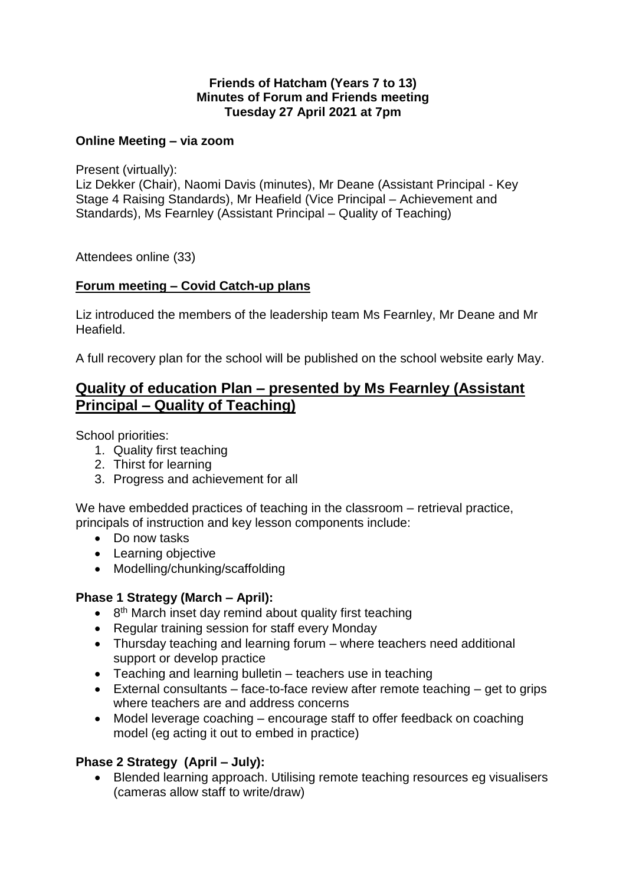### **Friends of Hatcham (Years 7 to 13) Minutes of Forum and Friends meeting Tuesday 27 April 2021 at 7pm**

## **Online Meeting – via zoom**

Present (virtually):

Liz Dekker (Chair), Naomi Davis (minutes), Mr Deane (Assistant Principal - Key Stage 4 Raising Standards), Mr Heafield (Vice Principal – Achievement and Standards), Ms Fearnley (Assistant Principal – Quality of Teaching)

Attendees online (33)

### **Forum meeting – Covid Catch-up plans**

Liz introduced the members of the leadership team Ms Fearnley, Mr Deane and Mr Heafield.

A full recovery plan for the school will be published on the school website early May.

## **Quality of education Plan – presented by Ms Fearnley (Assistant Principal – Quality of Teaching)**

School priorities:

- 1. Quality first teaching
- 2. Thirst for learning
- 3. Progress and achievement for all

We have embedded practices of teaching in the classroom – retrieval practice, principals of instruction and key lesson components include:

- Do now tasks
- Learning objective
- Modelling/chunking/scaffolding

### **Phase 1 Strategy (March – April):**

- 8<sup>th</sup> March inset day remind about quality first teaching
- Regular training session for staff every Monday
- Thursday teaching and learning forum where teachers need additional support or develop practice
- Teaching and learning bulletin teachers use in teaching
- External consultants face-to-face review after remote teaching get to grips where teachers are and address concerns
- Model leverage coaching encourage staff to offer feedback on coaching model (eg acting it out to embed in practice)

### **Phase 2 Strategy (April – July):**

• Blended learning approach. Utilising remote teaching resources eg visualisers (cameras allow staff to write/draw)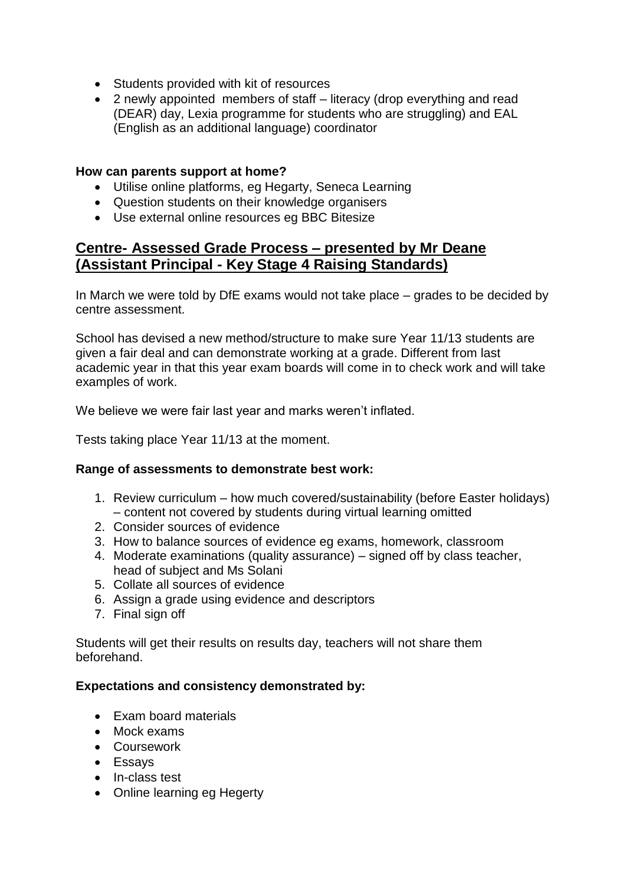- Students provided with kit of resources
- 2 newly appointed members of staff literacy (drop everything and read (DEAR) day, Lexia programme for students who are struggling) and EAL (English as an additional language) coordinator

#### **How can parents support at home?**

- Utilise online platforms, eg Hegarty, Seneca Learning
- Question students on their knowledge organisers
- Use external online resources eg BBC Bitesize

# **Centre- Assessed Grade Process – presented by Mr Deane (Assistant Principal - Key Stage 4 Raising Standards)**

In March we were told by DfE exams would not take place – grades to be decided by centre assessment.

School has devised a new method/structure to make sure Year 11/13 students are given a fair deal and can demonstrate working at a grade. Different from last academic year in that this year exam boards will come in to check work and will take examples of work.

We believe we were fair last year and marks weren't inflated.

Tests taking place Year 11/13 at the moment.

### **Range of assessments to demonstrate best work:**

- 1. Review curriculum how much covered/sustainability (before Easter holidays) – content not covered by students during virtual learning omitted
- 2. Consider sources of evidence
- 3. How to balance sources of evidence eg exams, homework, classroom
- 4. Moderate examinations (quality assurance) signed off by class teacher, head of subject and Ms Solani
- 5. Collate all sources of evidence
- 6. Assign a grade using evidence and descriptors
- 7. Final sign off

Students will get their results on results day, teachers will not share them beforehand.

### **Expectations and consistency demonstrated by:**

- Exam board materials
- Mock exams
- Coursework
- Essays
- In-class test
- Online learning eg Hegerty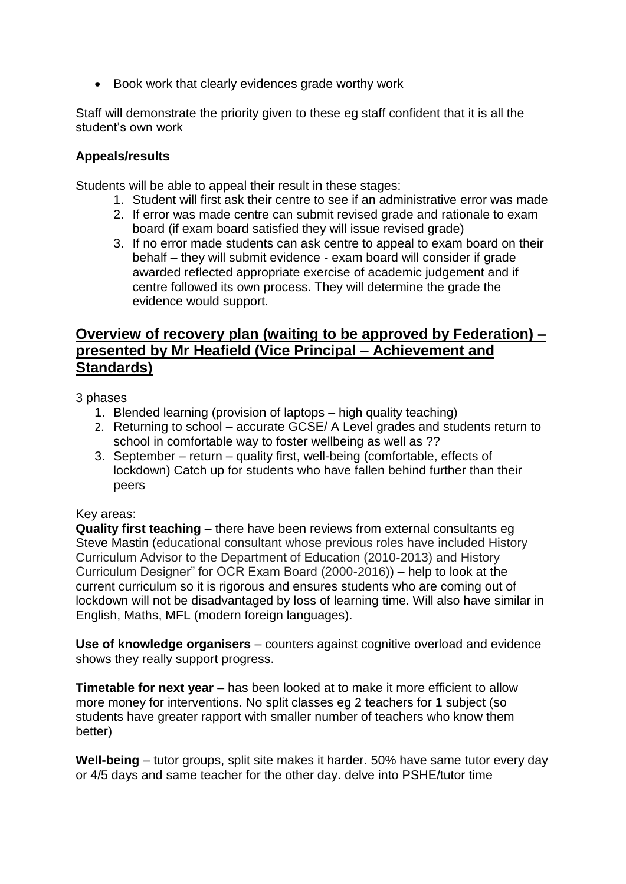• Book work that clearly evidences grade worthy work

Staff will demonstrate the priority given to these eg staff confident that it is all the student's own work

## **Appeals/results**

Students will be able to appeal their result in these stages:

- 1. Student will first ask their centre to see if an administrative error was made
- 2. If error was made centre can submit revised grade and rationale to exam board (if exam board satisfied they will issue revised grade)
- 3. If no error made students can ask centre to appeal to exam board on their behalf – they will submit evidence - exam board will consider if grade awarded reflected appropriate exercise of academic judgement and if centre followed its own process. They will determine the grade the evidence would support.

# **Overview of recovery plan (waiting to be approved by Federation) – presented by Mr Heafield (Vice Principal – Achievement and Standards)**

3 phases

- 1. Blended learning (provision of laptops high quality teaching)
- 2. Returning to school accurate GCSE/ A Level grades and students return to school in comfortable way to foster wellbeing as well as ??
- 3. September return quality first, well-being (comfortable, effects of lockdown) Catch up for students who have fallen behind further than their peers

### Key areas:

**Quality first teaching** – there have been reviews from external consultants eg Steve Mastin (educational consultant whose previous roles have included History Curriculum Advisor to the Department of Education (2010-2013) and History Curriculum Designer" for OCR Exam Board (2000-2016)) – help to look at the current curriculum so it is rigorous and ensures students who are coming out of lockdown will not be disadvantaged by loss of learning time. Will also have similar in English, Maths, MFL (modern foreign languages).

**Use of knowledge organisers** – counters against cognitive overload and evidence shows they really support progress.

**Timetable for next year** – has been looked at to make it more efficient to allow more money for interventions. No split classes eg 2 teachers for 1 subject (so students have greater rapport with smaller number of teachers who know them better)

**Well-being** – tutor groups, split site makes it harder. 50% have same tutor every day or 4/5 days and same teacher for the other day. delve into PSHE/tutor time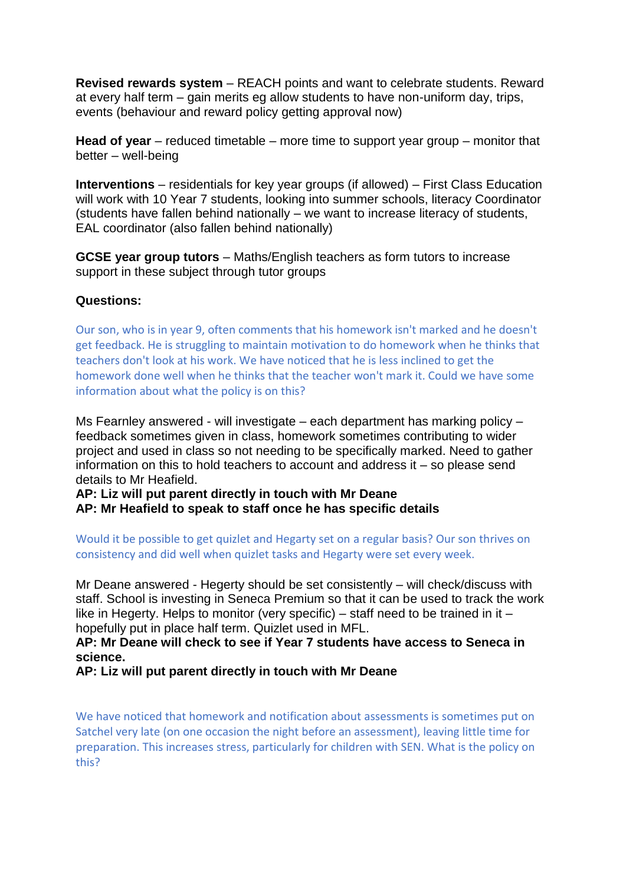**Revised rewards system** – REACH points and want to celebrate students. Reward at every half term – gain merits eg allow students to have non-uniform day, trips, events (behaviour and reward policy getting approval now)

**Head of year** – reduced timetable – more time to support year group – monitor that better – well-being

**Interventions** – residentials for key year groups (if allowed) – First Class Education will work with 10 Year 7 students, looking into summer schools, literacy Coordinator (students have fallen behind nationally – we want to increase literacy of students, EAL coordinator (also fallen behind nationally)

**GCSE year group tutors** – Maths/English teachers as form tutors to increase support in these subject through tutor groups

#### **Questions:**

Our son, who is in year 9, often comments that his homework isn't marked and he doesn't get feedback. He is struggling to maintain motivation to do homework when he thinks that teachers don't look at his work. We have noticed that he is less inclined to get the homework done well when he thinks that the teacher won't mark it. Could we have some information about what the policy is on this?

Ms Fearnley answered - will investigate – each department has marking policy – feedback sometimes given in class, homework sometimes contributing to wider project and used in class so not needing to be specifically marked. Need to gather information on this to hold teachers to account and address it – so please send details to Mr Heafield.

**AP: Liz will put parent directly in touch with Mr Deane**

**AP: Mr Heafield to speak to staff once he has specific details**

Would it be possible to get quizlet and Hegarty set on a regular basis? Our son thrives on consistency and did well when quizlet tasks and Hegarty were set every week.

Mr Deane answered - Hegerty should be set consistently – will check/discuss with staff. School is investing in Seneca Premium so that it can be used to track the work like in Hegerty. Helps to monitor (very specific) – staff need to be trained in it – hopefully put in place half term. Quizlet used in MFL.

**AP: Mr Deane will check to see if Year 7 students have access to Seneca in science.**

**AP: Liz will put parent directly in touch with Mr Deane**

We have noticed that homework and notification about assessments is sometimes put on Satchel very late (on one occasion the night before an assessment), leaving little time for preparation. This increases stress, particularly for children with SEN. What is the policy on this?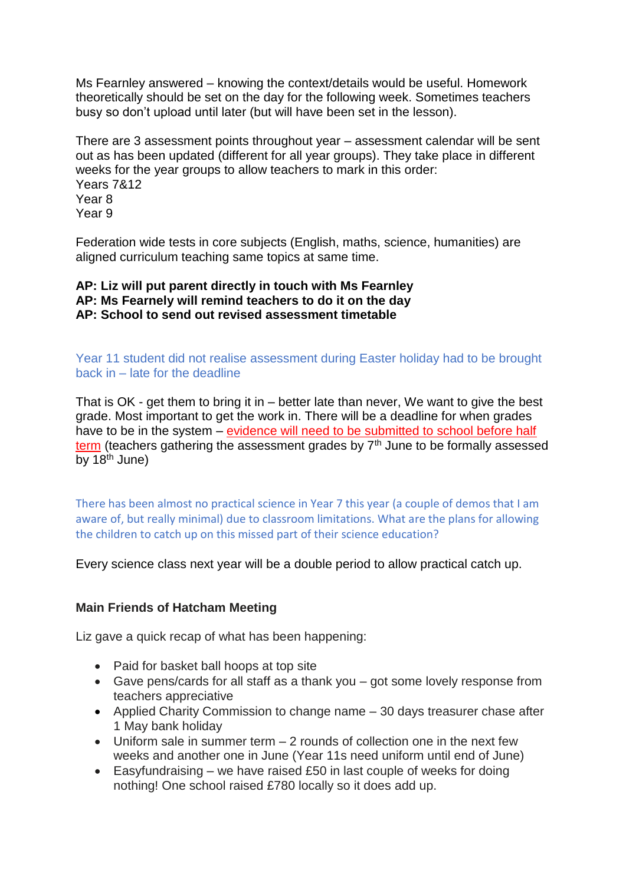Ms Fearnley answered – knowing the context/details would be useful. Homework theoretically should be set on the day for the following week. Sometimes teachers busy so don't upload until later (but will have been set in the lesson).

There are 3 assessment points throughout year – assessment calendar will be sent out as has been updated (different for all year groups). They take place in different weeks for the year groups to allow teachers to mark in this order: Years 7&12 Year 8 Year 9

Federation wide tests in core subjects (English, maths, science, humanities) are aligned curriculum teaching same topics at same time.

**AP: Liz will put parent directly in touch with Ms Fearnley AP: Ms Fearnely will remind teachers to do it on the day AP: School to send out revised assessment timetable**

Year 11 student did not realise assessment during Easter holiday had to be brought back in – late for the deadline

That is OK - get them to bring it in – better late than never, We want to give the best grade. Most important to get the work in. There will be a deadline for when grades have to be in the system – evidence will need to be submitted to school before half term (teachers gathering the assessment grades by  $7<sup>th</sup>$  June to be formally assessed by  $18^{\text{th}}$  June)

There has been almost no practical science in Year 7 this year (a couple of demos that I am aware of, but really minimal) due to classroom limitations. What are the plans for allowing the children to catch up on this missed part of their science education?

Every science class next year will be a double period to allow practical catch up.

### **Main Friends of Hatcham Meeting**

Liz gave a quick recap of what has been happening:

- Paid for basket ball hoops at top site
- Gave pens/cards for all staff as a thank you got some lovely response from teachers appreciative
- Applied Charity Commission to change name 30 days treasurer chase after 1 May bank holiday
- Uniform sale in summer term 2 rounds of collection one in the next few weeks and another one in June (Year 11s need uniform until end of June)
- Easyfundraising we have raised £50 in last couple of weeks for doing nothing! One school raised £780 locally so it does add up.